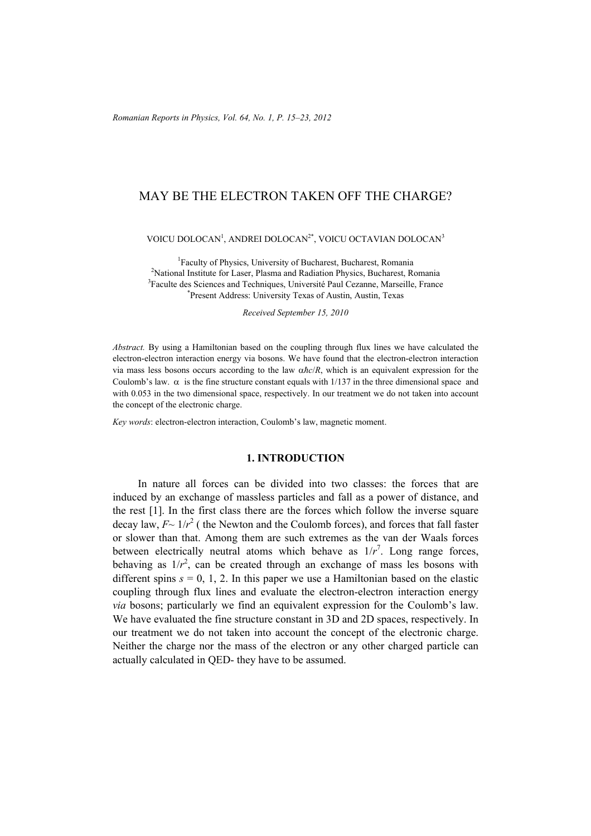# MAY BE THE ELECTRON TAKEN OFF THE CHARGE?

VOICU DOLOCAN<sup>1</sup>, ANDREI DOLOCAN<sup>2\*</sup>, VOICU OCTAVIAN DOLOCAN<sup>3</sup>

1 Faculty of Physics, University of Bucharest, Bucharest, Romania <sup>2</sup> National Institute for Laser, Plasma and Radiation Physics, Bucharest, Romania<br><sup>3</sup> Ecoulta das Saianeas and Techniques, Université Paul Cazanna, Marcailla, France <sup>3</sup> Faculte des Sciences and Techniques, Université Paul Cezanne, Marseille, France Present Address: University Texas of Austin, Austin, Texas

*Received September 15, 2010* 

*Abstract.* By using a Hamiltonian based on the coupling through flux lines we have calculated the electron-electron interaction energy via bosons. We have found that the electron-electron interaction via mass less bosons occurs according to the law α*ħc*/*R*, which is an equivalent expression for the Coulomb's law.  $\alpha$  is the fine structure constant equals with 1/137 in the three dimensional space and with 0.053 in the two dimensional space, respectively. In our treatment we do not taken into account the concept of the electronic charge.

*Key words*: electron-electron interaction, Coulomb's law, magnetic moment.

### **1. INTRODUCTION**

In nature all forces can be divided into two classes: the forces that are induced by an exchange of massless particles and fall as a power of distance, and the rest [1]. In the first class there are the forces which follow the inverse square decay law,  $F \sim 1/r^2$  ( the Newton and the Coulomb forces), and forces that fall faster or slower than that. Among them are such extremes as the van der Waals forces between electrically neutral atoms which behave as  $1/r<sup>7</sup>$ . Long range forces, behaving as  $1/r^2$ , can be created through an exchange of mass les bosons with different spins  $s = 0, 1, 2$ . In this paper we use a Hamiltonian based on the elastic coupling through flux lines and evaluate the electron-electron interaction energy *via* bosons; particularly we find an equivalent expression for the Coulomb's law. We have evaluated the fine structure constant in 3D and 2D spaces, respectively. In our treatment we do not taken into account the concept of the electronic charge. Neither the charge nor the mass of the electron or any other charged particle can actually calculated in QED- they have to be assumed.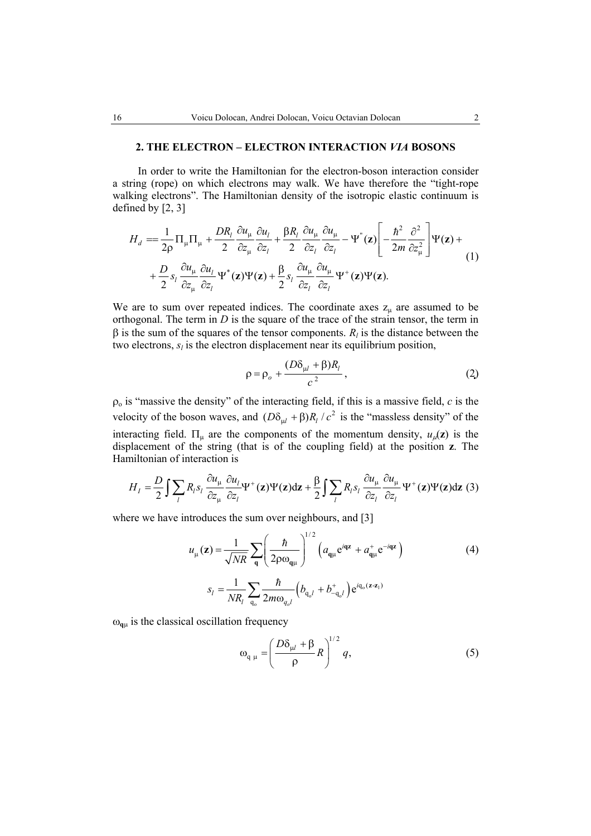#### **2. THE ELECTRON – ELECTRON INTERACTION** *VIA* **BOSONS**

In order to write the Hamiltonian for the electron-boson interaction consider a string (rope) on which electrons may walk. We have therefore the "tight-rope walking electrons". The Hamiltonian density of the isotropic elastic continuum is defined by [2, 3]

$$
H_{d} = \frac{1}{2\rho} \Pi_{\mu} \Pi_{\mu} + \frac{DR_{l}}{2} \frac{\partial u_{\mu}}{\partial z_{\mu}} \frac{\partial u_{l}}{\partial z_{l}} + \frac{\beta R_{l}}{2} \frac{\partial u_{\mu}}{\partial z_{l}} \frac{\partial u_{\mu}}{\partial z_{l}} - \Psi^{(z)}(z) \left[ -\frac{\hbar^{2}}{2m} \frac{\partial^{2}}{\partial z_{\mu}^{2}} \right] \Psi(z) + + \frac{D}{2} s_{l} \frac{\partial u_{\mu}}{\partial z_{\mu}} \frac{\partial u_{l}}{\partial z_{l}} \Psi^{*}(z) \Psi(z) + \frac{\beta}{2} s_{l} \frac{\partial u_{\mu}}{\partial z_{l}} \frac{\partial u_{\mu}}{\partial z_{l}} \Psi^{+}(z) \Psi(z).
$$
 (1)

We are to sum over repeated indices. The coordinate axes  $z_{\mu}$  are assumed to be orthogonal. The term in  $D$  is the square of the trace of the strain tensor, the term in  $β$  is the sum of the squares of the tensor components.  $R<sub>l</sub>$  is the distance between the two electrons,  $s_l$  is the electron displacement near its equilibrium position,

$$
\rho = \rho_o + \frac{(D\delta_{\mu l} + \beta)R_l}{c^2},\tag{2}
$$

 $\rho_0$  is "massive the density" of the interacting field, if this is a massive field,  $c$  is the velocity of the boson waves, and  $(D\delta_{ul} + \beta)R_l / c^2$  is the "massless density" of the interacting field.  $\Pi_{\mu}$  are the components of the momentum density,  $u_{\mu}(z)$  is the displacement of the string (that is of the coupling field) at the position **z**. The Hamiltonian of interaction is

$$
H_{I} = \frac{D}{2} \int \sum_{l} R_{l} s_{l} \frac{\partial u_{\mu}}{\partial z_{\mu}} \frac{\partial u_{l}}{\partial z_{l}} \Psi^{+}(\mathbf{z}) \Psi(\mathbf{z}) d\mathbf{z} + \frac{\beta}{2} \int \sum_{l} R_{l} s_{l} \frac{\partial u_{\mu}}{\partial z_{l}} \frac{\partial u_{\mu}}{\partial z_{l}} \Psi^{+}(\mathbf{z}) \Psi(\mathbf{z}) d\mathbf{z}
$$
(3)

where we have introduces the sum over neighbours, and [3]

$$
u_{\mu}(\mathbf{z}) = \frac{1}{\sqrt{NR}} \sum_{\mathbf{q}} \left( \frac{\hbar}{2\rho \omega_{\mathbf{q}\mu}} \right)^{1/2} \left( a_{\mathbf{q}\mu} e^{i\mathbf{q}\mathbf{z}} + a_{\mathbf{q}\mu}^{+} e^{-i\mathbf{q}\mathbf{z}} \right)
$$
(4)  

$$
s_{l} = \frac{1}{NR_{l}} \sum_{\mathbf{q}_{o}} \frac{\hbar}{2m\omega_{q_{o}l}} \left( b_{\mathbf{q}_{o}l} + b_{-\mathbf{q}_{o}l}^{+} \right) e^{i\mathbf{q}_{o}(\mathbf{z} - \mathbf{z}_{l})}
$$

 $\omega_{\mathbf{q}\mu}$  is the classical oscillation frequency

$$
\omega_{q\mu} = \left(\frac{D\delta_{\mu l} + \beta}{\rho}R\right)^{1/2}q,\tag{5}
$$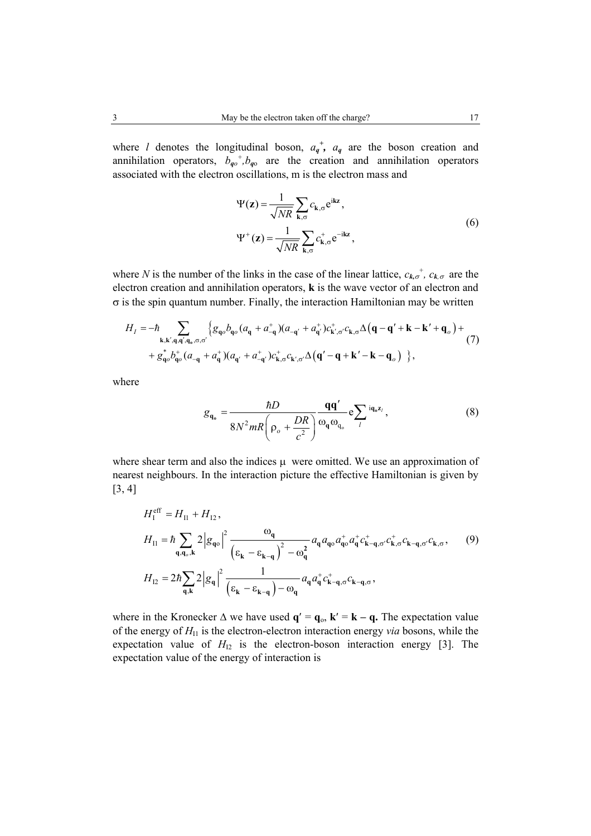where *l* denotes the longitudinal boson,  $a_q^+$ ,  $a_q$  are the boson creation and annihilation operators,  $b_{q0}^{\dagger}$ ,  $b_{q0}$  are the creation and annihilation operators associated with the electron oscillations, m is the electron mass and

$$
\Psi(\mathbf{z}) = \frac{1}{\sqrt{NR}} \sum_{\mathbf{k}, \sigma} c_{\mathbf{k}, \sigma} e^{i\mathbf{k}\mathbf{z}},
$$
  

$$
\Psi^+(\mathbf{z}) = \frac{1}{\sqrt{NR}} \sum_{\mathbf{k}, \sigma} c_{\mathbf{k}, \sigma}^+ e^{-i\mathbf{k}\mathbf{z}},
$$
 (6)

where *N* is the number of the links in the case of the linear lattice,  $c_{k,\sigma}^{\dagger}$ ,  $c_{k,\sigma}$  are the electron creation and annihilation operators, **k** is the wave vector of an electron and  $\sigma$  is the spin quantum number. Finally, the interaction Hamiltonian may be written

$$
H_{I} = -\hbar \sum_{\mathbf{k},\mathbf{k}',\mathbf{q},\mathbf{q}',\mathbf{q}_{o},\sigma,\sigma'} \left\{ g_{\mathbf{q}_{o}} b_{\mathbf{q}_{o}} (a_{\mathbf{q}} + a_{-\mathbf{q}}^{+}) (a_{-\mathbf{q}'} + a_{\mathbf{q}'}^{+}) c_{\mathbf{k}',\sigma'}^{+} c_{\mathbf{k},\sigma} \Delta (\mathbf{q} - \mathbf{q'} + \mathbf{k} - \mathbf{k'} + \mathbf{q}_{o}) + g_{\mathbf{q}_{o}}^{*} b_{\mathbf{q}_{o}}^{+} (a_{-\mathbf{q}} + a_{\mathbf{q}}^{+}) (a_{\mathbf{q}'} + a_{-\mathbf{q}'}^{+}) c_{\mathbf{k},\sigma}^{+} c_{\mathbf{k}',\sigma'} \Delta (\mathbf{q'} - \mathbf{q} + \mathbf{k'} - \mathbf{k} - \mathbf{q}_{o}) \right\},
$$
\n
$$
(7)
$$

where

$$
g_{\mathbf{q}_o} = \frac{\hbar D}{8N^2mR\left(\rho_o + \frac{DR}{c^2}\right)}\frac{\mathbf{q}\mathbf{q}'}{\omega_{\mathbf{q}}\omega_{\mathbf{q}_o}}e^{\sum_l i\mathbf{q}_o \mathbf{z}_l},\tag{8}
$$

where shear term and also the indices  $\mu$  were omitted. We use an approximation of nearest neighbours. In the interaction picture the effective Hamiltonian is given by [3, 4]

$$
H_{\rm II}^{\rm eff} = H_{\rm II} + H_{\rm I2},
$$
  
\n
$$
H_{\rm II} = \hbar \sum_{\mathbf{q},\mathbf{q}_o,\mathbf{k}} 2 |g_{\mathbf{q}_o}|^2 \frac{\omega_{\mathbf{q}}}{(\varepsilon_{\mathbf{k}} - \varepsilon_{\mathbf{k} - \mathbf{q}})^2 - \omega_{\mathbf{q}}^2} a_{\mathbf{q}} a_{\mathbf{q}_o} a_{\mathbf{q}_o}^+ a_{\mathbf{q}}^+ c_{\mathbf{k} - \mathbf{q}, \sigma'}^+ c_{\mathbf{k}, \sigma}^+ c_{\mathbf{k} - \mathbf{q}, \sigma'}^+ c_{\mathbf{k}, \sigma}^+ ,
$$
\n
$$
(9)
$$
  
\n
$$
H_{\rm I2} = 2\hbar \sum_{\mathbf{q},\mathbf{k}} 2 |g_{\mathbf{q}}|^2 \frac{1}{(\varepsilon_{\mathbf{k}} - \varepsilon_{\mathbf{k} - \mathbf{q}}) - \omega_{\mathbf{q}}} a_{\mathbf{q}} a_{\mathbf{q}}^+ c_{\mathbf{k} - \mathbf{q}, \sigma}^+ c_{\mathbf{k} - \mathbf{q}, \sigma}^+,
$$

where in the Kronecker  $\Delta$  we have used  $\mathbf{q}' = \mathbf{q}_0$ ,  $\mathbf{k}' = \mathbf{k} - \mathbf{q}$ . The expectation value of the energy of  $H<sub>II</sub>$  is the electron-electron interaction energy *via* bosons, while the expectation value of  $H<sub>12</sub>$  is the electron-boson interaction energy [3]. The expectation value of the energy of interaction is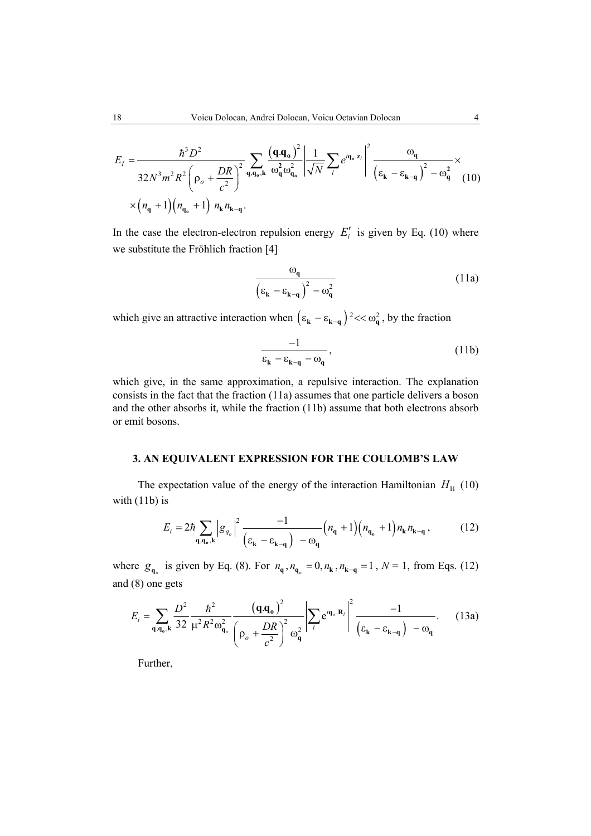$$
E_{I} = \frac{\hbar^{3} D^{2}}{32N^{3} m^{2} R^{2} \left(\rho_{o} + \frac{DR}{c^{2}}\right)^{2}} \sum_{\mathbf{q}, \mathbf{q}_{o}, \mathbf{k}} \frac{\left(\mathbf{q} \cdot \mathbf{q}_{o}\right)^{2}}{\omega_{\mathbf{q}}^{2} \omega_{\mathbf{q}_{o}}^{2}} \left| \frac{1}{\sqrt{N}} \sum_{l} e^{i\mathbf{q}_{o} z_{l}} \right|^{2} \frac{\omega_{\mathbf{q}}}{\left(\varepsilon_{\mathbf{k}} - \varepsilon_{\mathbf{k} - \mathbf{q}}\right)^{2} - \omega_{\mathbf{q}}^{2}} \times \\ \times \left(n_{\mathbf{q}} + 1\right) \left(n_{\mathbf{q}_{o}} + 1\right) n_{\mathbf{k}} n_{\mathbf{k} - \mathbf{q}}.
$$

In the case the electron-electron repulsion energy  $E_i'$  is given by Eq. (10) where we substitute the Fröhlich fraction [4]

$$
\frac{\omega_{\mathbf{q}}}{\left(\varepsilon_{\mathbf{k}} - \varepsilon_{\mathbf{k} - \mathbf{q}}\right)^2 - \omega_{\mathbf{q}}^2}
$$
 (11a)

which give an attractive interaction when  $(\epsilon_k - \epsilon_{k-q})^2 \ll \omega_q^2$ , by the fraction

$$
\frac{-1}{\varepsilon_{\mathbf{k}} - \varepsilon_{\mathbf{k} - \mathbf{q}} - \omega_{\mathbf{q}}},\tag{11b}
$$

which give, in the same approximation, a repulsive interaction. The explanation consists in the fact that the fraction (11a) assumes that one particle delivers a boson and the other absorbs it, while the fraction (11b) assume that both electrons absorb or emit bosons.

### **3. AN EQUIVALENT EXPRESSION FOR THE COULOMB'S LAW**

The expectation value of the energy of the interaction Hamiltonian  $H<sub>II</sub>$  (10) with (11b) is

$$
E_{i} = 2\hbar \sum_{\mathbf{q}, \mathbf{q}_{o}, \mathbf{k}} \left| g_{q_{o}} \right|^{2} \frac{-1}{\left( \varepsilon_{\mathbf{k}} - \varepsilon_{\mathbf{k} - \mathbf{q}} \right) - \omega_{\mathbf{q}}} \left( n_{\mathbf{q}} + 1 \right) \left( n_{\mathbf{q}_{o}} + 1 \right) n_{\mathbf{k}} n_{\mathbf{k} - \mathbf{q}} , \tag{12}
$$

where  $g_{\mathbf{q}_o}$  is given by Eq. (8). For  $n_{\mathbf{q}}$ ,  $n_{\mathbf{q}_o} = 0$ ,  $n_{\mathbf{k}}$ ,  $n_{\mathbf{k}-\mathbf{q}} = 1$ ,  $N = 1$ , from Eqs. (12) and (8) one gets

$$
E_i = \sum_{\mathbf{q}, \mathbf{q}_0, \mathbf{k}} \frac{D^2}{32} \frac{\hbar^2}{\mu^2 R^2 \omega_{\mathbf{q}_0}^2} \frac{\left(\mathbf{q} \cdot \mathbf{q}_0\right)^2}{\left(\rho_o + \frac{DR}{c^2}\right)^2 \omega_{\mathbf{q}}^2} \left| \sum_l e^{i\mathbf{q}_0 \cdot \mathbf{R}_l} \right|^2 \frac{-1}{\left(\epsilon_{\mathbf{k}} - \epsilon_{\mathbf{k} - \mathbf{q}}\right) - \omega_{\mathbf{q}}}.
$$
 (13a)

Further,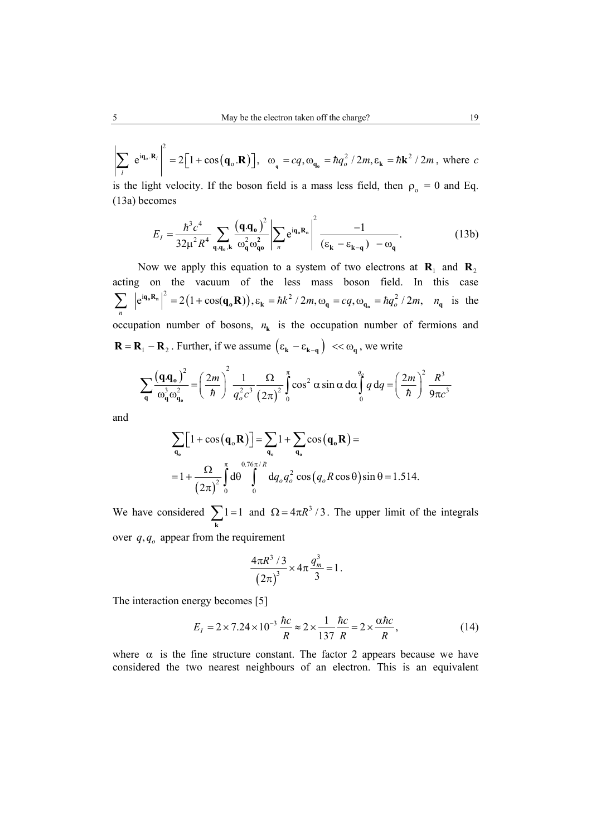$$
\left|\sum_{l} e^{i\mathbf{q}_{o} \cdot \mathbf{R}_{l}}\right|^{2} = 2\left[1 + \cos(\mathbf{q}_{o} \cdot \mathbf{R})\right], \quad \omega_{q} = cq, \omega_{\mathbf{q}_{o}} = \hbar q_{o}^{2} / 2m, \varepsilon_{\mathbf{k}} = \hbar \mathbf{k}^{2} / 2m, \text{ where } c
$$

is the light velocity. If the boson field is a mass less field, then  $\rho_0 = 0$  and Eq. (13a) becomes

$$
E_I = \frac{\hbar^3 c^4}{32\mu^2 R^4} \sum_{\mathbf{q}, \mathbf{q}_0, \mathbf{k}} \frac{\left(\mathbf{q} \cdot \mathbf{q}_0\right)^2}{\omega_{\mathbf{q}}^2 \omega_{\mathbf{q}0}^2} \left| \sum_n e^{i\mathbf{q}_0 \mathbf{R}_n} \right|^2 \frac{-1}{\left(\varepsilon_{\mathbf{k}} - \varepsilon_{\mathbf{k} - \mathbf{q}}\right) - \omega_{\mathbf{q}}}.
$$
 (13b)

Now we apply this equation to a system of two electrons at  $\mathbf{R}_1$  and  $\mathbf{R}_2$ acting on the vacuum of the less mass boson field. In this case  $(e^{iq_{0}R_{n}}|^{2} = 2(1 + \cos(q_{0}R)), \varepsilon_{k} = \hbar k^{2}/2m, \omega_{q} = cq, \omega_{q_{0}} = \hbar q_{0}^{2}/2m,$  $\sum_{n} |e^{iq_{o}R_{n}}|^{2} = 2(1 + \cos(q_{o}R)), \varepsilon_{k} = \hbar k^{2} / 2m, \omega_{q} = cq, \omega_{q_{o}} = \hbar q_{o}^{2} / 2m, n_{q}$  is the occupation number of bosons,  $n_k$  is the occupation number of fermions and  $\mathbf{R} = \mathbf{R}_1 - \mathbf{R}_2$ . Further, if we assume  $(\varepsilon_k - \varepsilon_{k-q}) < \omega_q$ , we write

$$
\sum_{\mathbf{q}} \frac{\left(\mathbf{q} \cdot \mathbf{q}_{o}\right)^{2}}{\omega_{\mathbf{q}}^{3} \omega_{\mathbf{q}_{o}}^{2}} = \left(\frac{2m}{\hbar}\right)^{2} \frac{1}{q_{o}^{2} c^{3}} \frac{\Omega}{\left(2\pi\right)^{2}} \int_{0}^{\pi} \cos^{2} \alpha \sin \alpha \, d\alpha \int_{0}^{q_{o}} q \, dq = \left(\frac{2m}{\hbar}\right)^{2} \frac{R^{3}}{9\pi c^{3}}
$$

and

$$
\sum_{\mathbf{q}_o} \left[ 1 + \cos\left(\mathbf{q}_o \mathbf{R}\right) \right] = \sum_{\mathbf{q}_o} 1 + \sum_{\mathbf{q}_o} \cos\left(\mathbf{q}_o \mathbf{R}\right) =
$$
  
=  $1 + \frac{\Omega}{\left(2\pi\right)^2} \int_0^{\pi} d\theta \int_0^{0.76\pi/R} dq_o q_o^2 \cos\left(q_o R \cos\theta\right) \sin\theta = 1.514.$ 

We have considered  $\sum_{k} 1 = 1$ and  $\Omega = 4\pi R^3 / 3$ . The upper limit of the integrals over  $q, q_o$  appear from the requirement

$$
\frac{4\pi R^3/3}{(2\pi)^3} \times 4\pi \frac{q_m^3}{3} = 1.
$$

The interaction energy becomes [5]

$$
E_I = 2 \times 7.24 \times 10^{-3} \frac{hc}{R} \approx 2 \times \frac{1}{137} \frac{hc}{R} = 2 \times \frac{\alpha hc}{R},
$$
 (14)

where  $\alpha$  is the fine structure constant. The factor 2 appears because we have considered the two nearest neighbours of an electron. This is an equivalent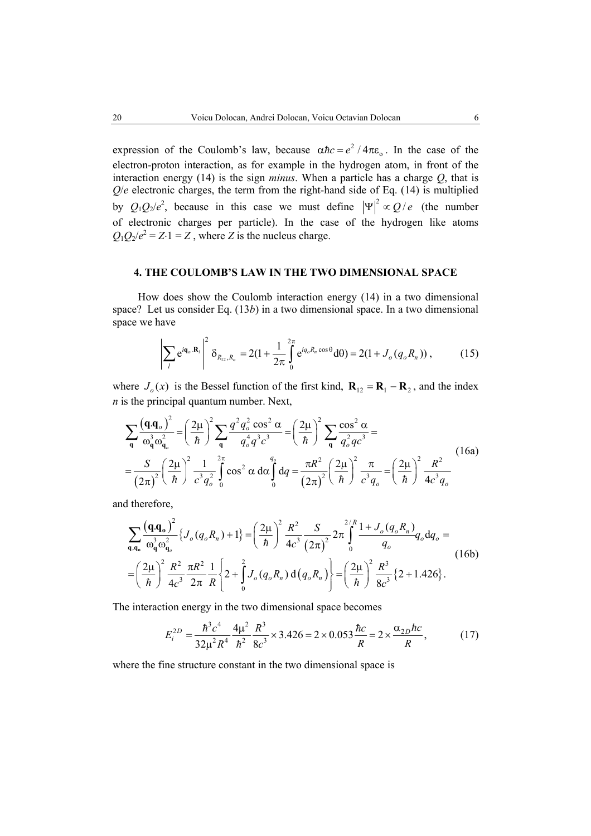expression of the Coulomb's law, because  $\alpha \hbar c = e^2 / 4\pi \varepsilon_0$ . In the case of the electron-proton interaction, as for example in the hydrogen atom, in front of the interaction energy (14) is the sign *minus*. When a particle has a charge *Q*, that is  $Q/e$  electronic charges, the term from the right-hand side of Eq.  $(14)$  is multiplied by  $Q_1Q_2/e^2$ , because in this case we must define  $|\Psi|^2 \propto Q/e$  (the number of electronic charges per particle). In the case of the hydrogen like atoms  $Q_1Q_2/e^2 = Z \cdot 1 = Z$ , where *Z* is the nucleus charge.

#### **4. THE COULOMB'S LAW IN THE TWO DIMENSIONAL SPACE**

How does show the Coulomb interaction energy (14) in a two dimensional space? Let us consider Eq. (13*b*) in a two dimensional space. In a two dimensional space we have

$$
\left| \sum_{l} e^{i \mathbf{q}_o \cdot \mathbf{R}_l} \right|^2 \delta_{R_{12}, R_n} = 2(1 + \frac{1}{2\pi} \int_{0}^{2\pi} e^{i q_o R_n \cos \theta} d\theta) = 2(1 + J_o(q_o R_n)), \quad (15)
$$

where  $J_o(x)$  is the Bessel function of the first kind,  $\mathbf{R}_{12} = \mathbf{R}_1 - \mathbf{R}_2$ , and the index *n* is the principal quantum number. Next,

$$
\sum_{\mathbf{q}} \frac{(\mathbf{q} \cdot \mathbf{q}_{o})^{2}}{\omega_{\mathbf{q}}^{3} \omega_{\mathbf{q}_{o}}^{2}} = \left(\frac{2\mu}{\hbar}\right)^{2} \sum_{\mathbf{q}} \frac{q^{2} q_{o}^{2} \cos^{2} \alpha}{q_{o}^{4} q^{3} c^{3}} = \left(\frac{2\mu}{\hbar}\right)^{2} \sum_{\mathbf{q}} \frac{\cos^{2} \alpha}{q_{o}^{2} q c^{3}} =
$$
\n
$$
= \frac{S}{(2\pi)^{2}} \left(\frac{2\mu}{\hbar}\right)^{2} \frac{1}{c^{3} q_{o}^{2}} \int_{0}^{2\pi} \cos^{2} \alpha \, d\alpha \int_{0}^{q_{o}} dq = \frac{\pi R^{2}}{(2\pi)^{2}} \left(\frac{2\mu}{\hbar}\right)^{2} \frac{\pi}{c^{3} q_{o}} = \left(\frac{2\mu}{\hbar}\right)^{2} \frac{R^{2}}{4c^{3} q_{o}} \tag{16a}
$$

and therefore,

$$
\sum_{\mathbf{q},\mathbf{q}_o} \frac{\left(\mathbf{q} \cdot \mathbf{q}_o\right)^2}{\omega_q^3 \omega_{\mathbf{q}_o}^2} \left\{ J_o(q_o R_n) + 1 \right\} = \left(\frac{2\mu}{\hbar}\right)^2 \frac{R^2}{4c^3} \frac{S}{\left(2\pi\right)^2} 2\pi \int_0^{2/R} \frac{1 + J_o(q_o R_n)}{q_o} q_o \, \mathrm{d}q_o =
$$
\n
$$
= \left(\frac{2\mu}{\hbar}\right)^2 \frac{R^2}{4c^3} \frac{\pi R^2}{2\pi} \frac{1}{R} \left\{ 2 + \int_0^2 J_o(q_o R_n) \, \mathrm{d}\left(q_o R_n\right) \right\} = \left(\frac{2\mu}{\hbar}\right)^2 \frac{R^3}{8c^3} \left\{ 2 + 1.426 \right\} .
$$
\n(16b)

The interaction energy in the two dimensional space becomes

$$
E_i^{2D} = \frac{\hbar^3 c^4}{32\mu^2 R^4} \frac{4\mu^2}{\hbar^2} \frac{R^3}{8c^3} \times 3.426 = 2 \times 0.053 \frac{\hbar c}{R} = 2 \times \frac{\alpha_{2D} \hbar c}{R},
$$
 (17)

where the fine structure constant in the two dimensional space is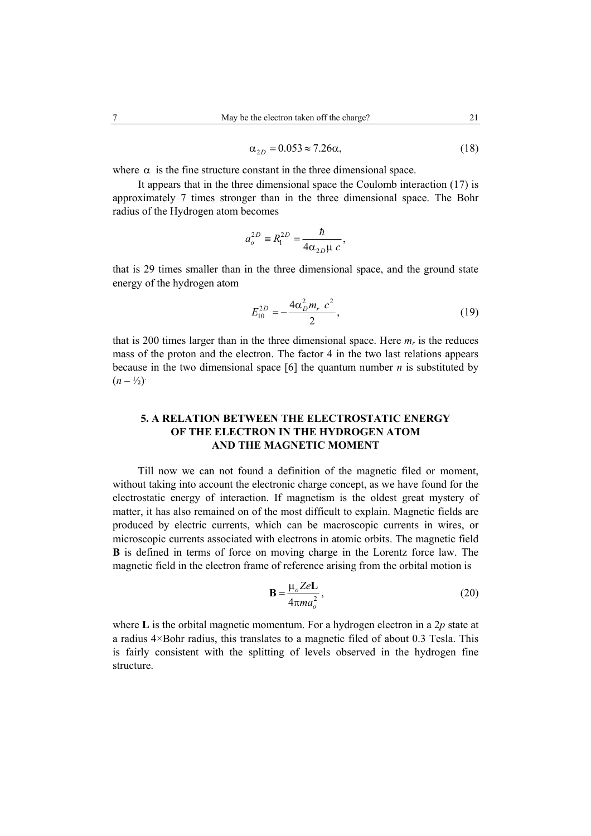$$
\alpha_{2D} = 0.053 \approx 7.26\alpha,\tag{18}
$$

where  $\alpha$  is the fine structure constant in the three dimensional space.

It appears that in the three dimensional space the Coulomb interaction (17) is approximately 7 times stronger than in the three dimensional space. The Bohr radius of the Hydrogen atom becomes

$$
a_o^{2D} \equiv R_1^{2D} = \frac{\hbar}{4\alpha_{2D}\mu c},
$$

that is 29 times smaller than in the three dimensional space, and the ground state energy of the hydrogen atom

$$
E_{10}^{2D} = -\frac{4\alpha_D^2 m_r c^2}{2},\tag{19}
$$

that is 200 times larger than in the three dimensional space. Here  $m_r$  is the reduces mass of the proton and the electron. The factor 4 in the two last relations appears because in the two dimensional space [6] the quantum number *n* is substituted by  $(n - \frac{1}{2})$ .

## **5. A RELATION BETWEEN THE ELECTROSTATIC ENERGY OF THE ELECTRON IN THE HYDROGEN ATOM AND THE MAGNETIC MOMENT**

Till now we can not found a definition of the magnetic filed or moment, without taking into account the electronic charge concept, as we have found for the electrostatic energy of interaction. If magnetism is the oldest great mystery of matter, it has also remained on of the most difficult to explain. Magnetic fields are produced by electric currents, which can be macroscopic currents in wires, or microscopic currents associated with electrons in atomic orbits. The magnetic field **B** is defined in terms of force on moving charge in the Lorentz force law. The magnetic field in the electron frame of reference arising from the orbital motion is

$$
\mathbf{B} = \frac{\mu_o Z e \mathbf{L}}{4 \pi m a_o^2},\tag{20}
$$

where **L** is the orbital magnetic momentum. For a hydrogen electron in a 2*p* state at a radius 4×Bohr radius, this translates to a magnetic filed of about 0.3 Tesla. This is fairly consistent with the splitting of levels observed in the hydrogen fine structure.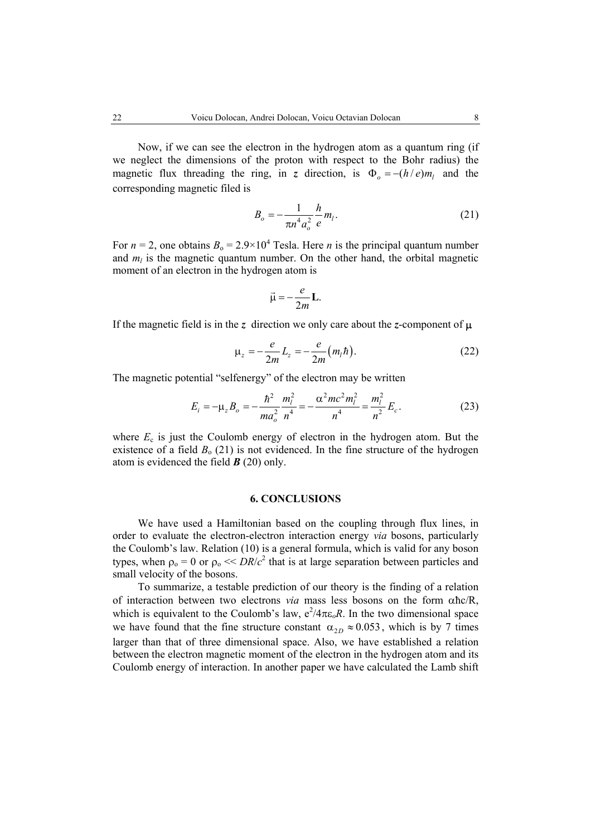Now, if we can see the electron in the hydrogen atom as a quantum ring (if

we neglect the dimensions of the proton with respect to the Bohr radius) the magnetic flux threading the ring, in *z* direction, is  $\Phi_{0} = -(h/e)m_{1}$  and the corresponding magnetic filed is

$$
B_o = -\frac{1}{\pi n^4 a_o^2} \frac{h}{e} m_l.
$$
 (21)

For  $n = 2$ , one obtains  $B_0 = 2.9 \times 10^4$  Tesla. Here *n* is the principal quantum number and  $m_l$  is the magnetic quantum number. On the other hand, the orbital magnetic moment of an electron in the hydrogen atom is

$$
\vec{\mu} = -\frac{e}{2m} \mathbf{L}.
$$

If the magnetic field is in the *z* direction we only care about the *z*-component of  $\mu$ 

$$
\mu_z = -\frac{e}{2m} L_z = -\frac{e}{2m} (m_l \hbar).
$$
 (22)

The magnetic potential "selfenergy" of the electron may be written

$$
E_i = -\mu_z B_o = -\frac{\hbar^2}{ma_o^2} \frac{m_l^2}{n^4} = -\frac{\alpha^2 mc^2 m_l^2}{n^4} = \frac{m_l^2}{n^2} E_c.
$$
 (23)

where  $E_c$  is just the Coulomb energy of electron in the hydrogen atom. But the existence of a field  $B_0$  (21) is not evidenced. In the fine structure of the hydrogen atom is evidenced the field *B* (20) only.

#### **6. CONCLUSIONS**

We have used a Hamiltonian based on the coupling through flux lines, in order to evaluate the electron-electron interaction energy *via* bosons, particularly the Coulomb's law. Relation (10) is a general formula, which is valid for any boson types, when  $\rho_0 = 0$  or  $\rho_0 \ll DR/c^2$  that is at large separation between particles and small velocity of the bosons.

To summarize, a testable prediction of our theory is the finding of a relation of interaction between two electrons *via* mass less bosons on the form αħc/R, which is equivalent to the Coulomb's law,  $e^2/4\pi\epsilon_o R$ . In the two dimensional space we have found that the fine structure constant  $\alpha_{2D} \approx 0.053$ , which is by 7 times larger than that of three dimensional space. Also, we have established a relation between the electron magnetic moment of the electron in the hydrogen atom and its Coulomb energy of interaction. In another paper we have calculated the Lamb shift